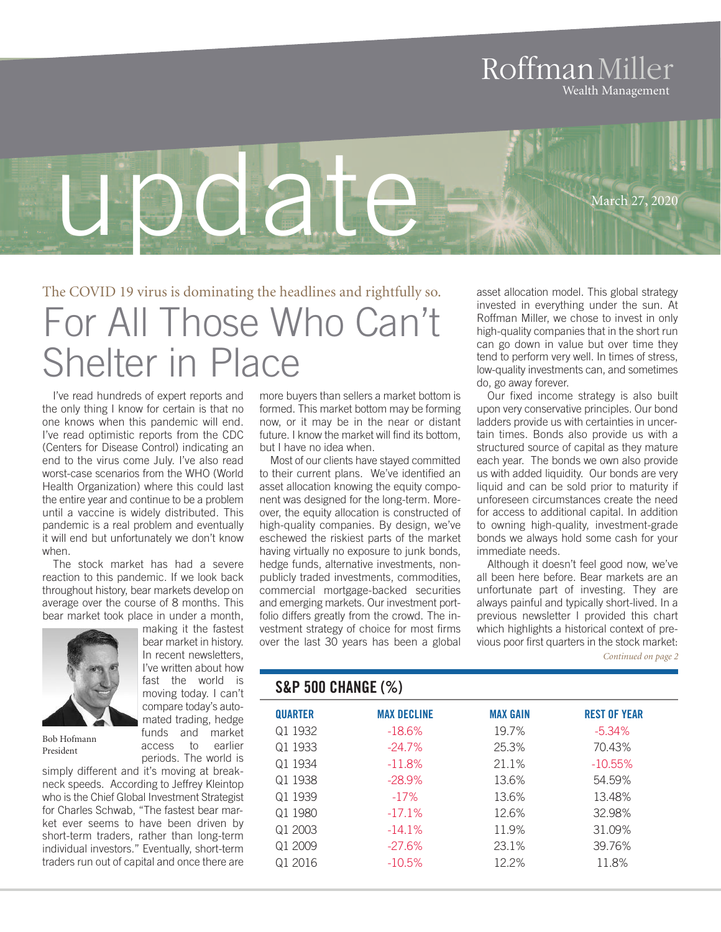## RoffmanMiller Wealth Management



# The COVID 19 virus is dominating the headlines and rightfully so. For All Those Who Can't Shelter in Place

I've read hundreds of expert reports and the only thing I know for certain is that no one knows when this pandemic will end. I've read optimistic reports from the CDC (Centers for Disease Control) indicating an end to the virus come July. I've also read worst-case scenarios from the WHO (World Health Organization) where this could last the entire year and continue to be a problem until a vaccine is widely distributed. This pandemic is a real problem and eventually it will end but unfortunately we don't know when.

The stock market has had a severe reaction to this pandemic. If we look back throughout history, bear markets develop on average over the course of 8 months. This bear market took place in under a month, making it the fastest

> bear market in history. In recent newsletters, I've written about how fast the world is moving today. I can't compare today's auto-



Bob Hofmann President

mated trading, hedge funds and market access to earlier periods. The world is simply different and it's moving at breakneck speeds. According to Jeffrey Kleintop who is the Chief Global Investment Strategist for Charles Schwab, "The fastest bear market ever seems to have been driven by short-term traders, rather than long-term individual investors." Eventually, short-term

traders run out of capital and once there are

more buyers than sellers a market bottom is formed. This market bottom may be forming now, or it may be in the near or distant future. I know the market will find its bottom, but I have no idea when.

Most of our clients have stayed committed to their current plans. We've identified an asset allocation knowing the equity component was designed for the long-term. Moreover, the equity allocation is constructed of high-quality companies. By design, we've eschewed the riskiest parts of the market having virtually no exposure to junk bonds, hedge funds, alternative investments, nonpublicly traded investments, commodities, commercial mortgage-backed securities and emerging markets. Our investment portfolio differs greatly from the crowd. The investment strategy of choice for most firms over the last 30 years has been a global

asset allocation model. This global strategy invested in everything under the sun. At Roffman Miller, we chose to invest in only high-quality companies that in the short run can go down in value but over time they tend to perform very well. In times of stress, low-quality investments can, and sometimes do, go away forever.

Our fixed income strategy is also built upon very conservative principles. Our bond ladders provide us with certainties in uncertain times. Bonds also provide us with a structured source of capital as they mature each year. The bonds we own also provide us with added liquidity. Our bonds are very liquid and can be sold prior to maturity if unforeseen circumstances create the need for access to additional capital. In addition to owning high-quality, investment-grade bonds we always hold some cash for your immediate needs.

Although it doesn't feel good now, we've all been here before. Bear markets are an unfortunate part of investing. They are always painful and typically short-lived. In a previous newsletter I provided this chart which highlights a historical context of previous poor first quarters in the stock market:

*Continued on page 2*

#### **S&P 500 CHANGE (%)**

| <b>QUARTER</b> | <b>MAX DECLINE</b> | <b>MAX GAIN</b> | <b>REST OF YEAR</b> |
|----------------|--------------------|-----------------|---------------------|
| Q1 1932        | $-18.6%$           | 19.7%           | $-5.34\%$           |
| Q1 1933        | $-24.7\%$          | 25.3%           | 70.43%              |
| Q1 1934        | $-11.8%$           | 21.1%           | $-10.55\%$          |
| Q1 1938        | $-28.9%$           | 13.6%           | 54.59%              |
| Q1 1939        | $-17%$             | 13.6%           | 13.48%              |
| Q1 1980        | $-17.1\%$          | 12.6%           | 32.98%              |
| Q1 2003        | $-14.1\%$          | 11.9%           | 31.09%              |
| Q1 2009        | $-27.6\%$          | 23.1%           | 39.76%              |
| Q1 2016        | $-10.5\%$          | $12.2\%$        | 11.8%               |
|                |                    |                 |                     |